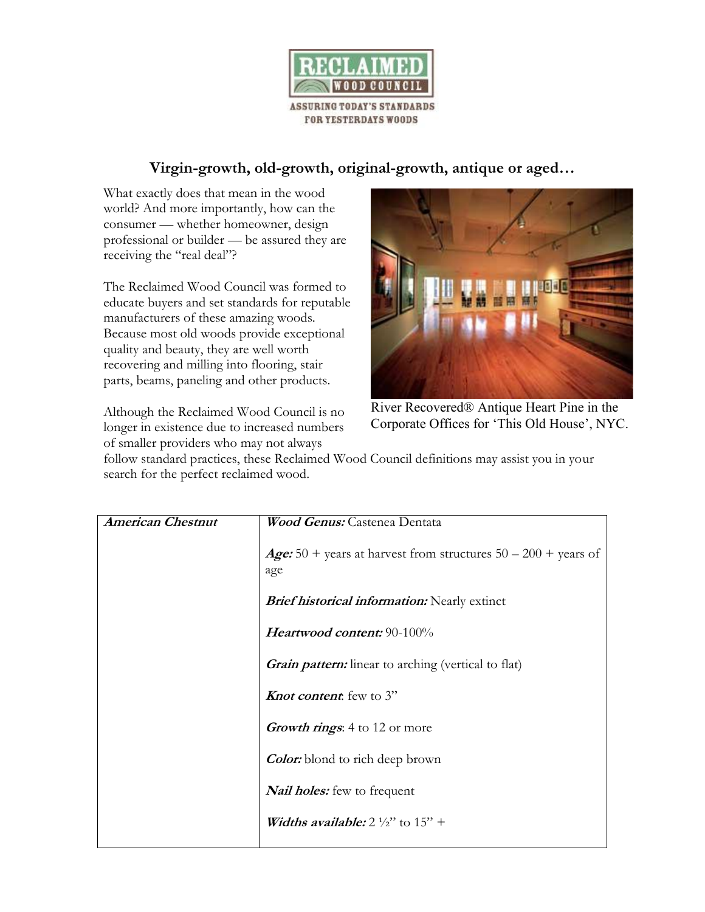

## **Virgin-growth, old-growth, original-growth, antique or aged…**

What exactly does that mean in the wood world? And more importantly, how can the consumer — whether homeowner, design professional or builder — be assured they are receiving the "real deal"?

The Reclaimed Wood Council was formed to educate buyers and set standards for reputable manufacturers of these amazing woods. Because most old woods provide exceptional quality and beauty, they are well worth recovering and milling into flooring, stair parts, beams, paneling and other products.

Although the Reclaimed Wood Council is no longer in existence due to increased numbers of smaller providers who may not always



River Recovered® Antique Heart Pine in the Corporate Offices for 'This Old House', NYC.

follow standard practices, these Reclaimed Wood Council definitions may assist you in your search for the perfect reclaimed wood.

| <b>American Chestnut</b> | <b>Wood Genus:</b> Castenea Dentata                                            |
|--------------------------|--------------------------------------------------------------------------------|
|                          | <b>Age:</b> 50 + years at harvest from structures $50 - 200$ + years of<br>age |
|                          | <b>Brief historical information:</b> Nearly extinct                            |
|                          | Heartwood content: 90-100%                                                     |
|                          | <b><i>Grain pattern:</i></b> linear to arching (vertical to flat)              |
|                          | <b>Knot content</b> few to 3"                                                  |
|                          | <b><i>Growth rings</i></b> : 4 to 12 or more                                   |
|                          | <b>Color:</b> blond to rich deep brown                                         |
|                          | <b>Nail holes:</b> few to frequent                                             |
|                          | <b><i>Widths available:</i></b> $2\frac{1}{2}$ to $15$ +                       |
|                          |                                                                                |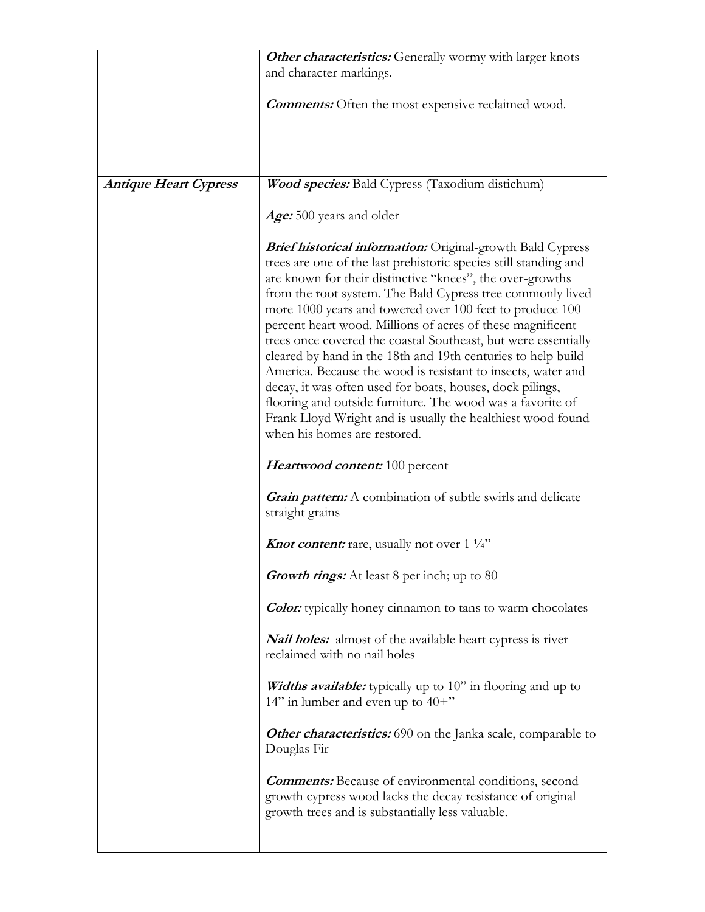|                              | Other characteristics: Generally wormy with larger knots                                                                                                                                                                                                                                                                                                                                                                                                                                                                                                                                                                                                                                                                                                                                                               |
|------------------------------|------------------------------------------------------------------------------------------------------------------------------------------------------------------------------------------------------------------------------------------------------------------------------------------------------------------------------------------------------------------------------------------------------------------------------------------------------------------------------------------------------------------------------------------------------------------------------------------------------------------------------------------------------------------------------------------------------------------------------------------------------------------------------------------------------------------------|
|                              | and character markings.                                                                                                                                                                                                                                                                                                                                                                                                                                                                                                                                                                                                                                                                                                                                                                                                |
|                              | <b>Comments:</b> Often the most expensive reclaimed wood.                                                                                                                                                                                                                                                                                                                                                                                                                                                                                                                                                                                                                                                                                                                                                              |
|                              |                                                                                                                                                                                                                                                                                                                                                                                                                                                                                                                                                                                                                                                                                                                                                                                                                        |
| <b>Antique Heart Cypress</b> | Wood species: Bald Cypress (Taxodium distichum)                                                                                                                                                                                                                                                                                                                                                                                                                                                                                                                                                                                                                                                                                                                                                                        |
|                              | Age: 500 years and older                                                                                                                                                                                                                                                                                                                                                                                                                                                                                                                                                                                                                                                                                                                                                                                               |
|                              | <b>Brief historical information:</b> Original-growth Bald Cypress<br>trees are one of the last prehistoric species still standing and<br>are known for their distinctive "knees", the over-growths<br>from the root system. The Bald Cypress tree commonly lived<br>more 1000 years and towered over 100 feet to produce 100<br>percent heart wood. Millions of acres of these magnificent<br>trees once covered the coastal Southeast, but were essentially<br>cleared by hand in the 18th and 19th centuries to help build<br>America. Because the wood is resistant to insects, water and<br>decay, it was often used for boats, houses, dock pilings,<br>flooring and outside furniture. The wood was a favorite of<br>Frank Lloyd Wright and is usually the healthiest wood found<br>when his homes are restored. |
|                              | <i>Heartwood content:</i> 100 percent                                                                                                                                                                                                                                                                                                                                                                                                                                                                                                                                                                                                                                                                                                                                                                                  |
|                              | <b>Grain pattern:</b> A combination of subtle swirls and delicate<br>straight grains                                                                                                                                                                                                                                                                                                                                                                                                                                                                                                                                                                                                                                                                                                                                   |
|                              | <b>Knot content:</b> rare, usually not over $1\frac{1}{4}$                                                                                                                                                                                                                                                                                                                                                                                                                                                                                                                                                                                                                                                                                                                                                             |
|                              | <b>Growth rings:</b> At least 8 per inch; up to 80                                                                                                                                                                                                                                                                                                                                                                                                                                                                                                                                                                                                                                                                                                                                                                     |
|                              | <b>Color:</b> typically honey cinnamon to tans to warm chocolates                                                                                                                                                                                                                                                                                                                                                                                                                                                                                                                                                                                                                                                                                                                                                      |
|                              | <b>Nail holes:</b> almost of the available heart cypress is river<br>reclaimed with no nail holes                                                                                                                                                                                                                                                                                                                                                                                                                                                                                                                                                                                                                                                                                                                      |
|                              | <b><i>Widths available:</i></b> typically up to 10" in flooring and up to<br>14" in lumber and even up to $40+$ "                                                                                                                                                                                                                                                                                                                                                                                                                                                                                                                                                                                                                                                                                                      |
|                              | Other characteristics: 690 on the Janka scale, comparable to<br>Douglas Fir                                                                                                                                                                                                                                                                                                                                                                                                                                                                                                                                                                                                                                                                                                                                            |
|                              | <b>Comments:</b> Because of environmental conditions, second<br>growth cypress wood lacks the decay resistance of original<br>growth trees and is substantially less valuable.                                                                                                                                                                                                                                                                                                                                                                                                                                                                                                                                                                                                                                         |
|                              |                                                                                                                                                                                                                                                                                                                                                                                                                                                                                                                                                                                                                                                                                                                                                                                                                        |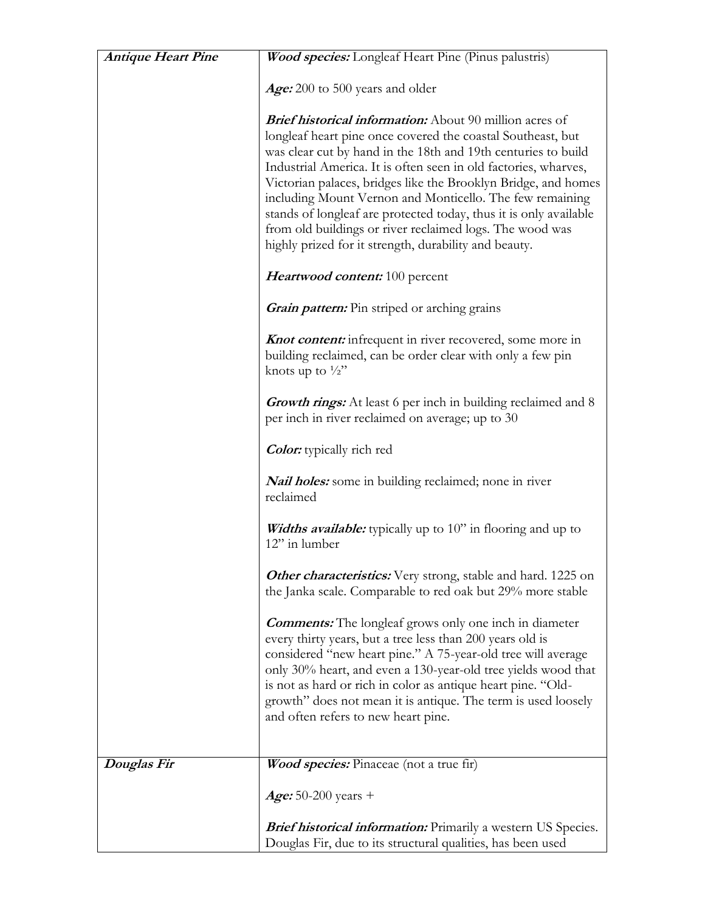| <b>Antique Heart Pine</b> | <b>Wood species:</b> Longleaf Heart Pine (Pinus palustris)                                                                                                                                                                                                                                                                                                                                                                                                                                                                                                                                |
|---------------------------|-------------------------------------------------------------------------------------------------------------------------------------------------------------------------------------------------------------------------------------------------------------------------------------------------------------------------------------------------------------------------------------------------------------------------------------------------------------------------------------------------------------------------------------------------------------------------------------------|
|                           | Age: 200 to 500 years and older                                                                                                                                                                                                                                                                                                                                                                                                                                                                                                                                                           |
|                           | <b>Brief historical information:</b> About 90 million acres of<br>longleaf heart pine once covered the coastal Southeast, but<br>was clear cut by hand in the 18th and 19th centuries to build<br>Industrial America. It is often seen in old factories, wharves,<br>Victorian palaces, bridges like the Brooklyn Bridge, and homes<br>including Mount Vernon and Monticello. The few remaining<br>stands of longleaf are protected today, thus it is only available<br>from old buildings or river reclaimed logs. The wood was<br>highly prized for it strength, durability and beauty. |
|                           | Heartwood content: 100 percent                                                                                                                                                                                                                                                                                                                                                                                                                                                                                                                                                            |
|                           | <b><i>Grain pattern:</i></b> Pin striped or arching grains                                                                                                                                                                                                                                                                                                                                                                                                                                                                                                                                |
|                           | <b>Knot content:</b> infrequent in river recovered, some more in<br>building reclaimed, can be order clear with only a few pin<br>knots up to $\frac{1}{2}$ "                                                                                                                                                                                                                                                                                                                                                                                                                             |
|                           | <b>Growth rings:</b> At least 6 per inch in building reclaimed and 8<br>per inch in river reclaimed on average; up to 30                                                                                                                                                                                                                                                                                                                                                                                                                                                                  |
|                           | <b>Color:</b> typically rich red                                                                                                                                                                                                                                                                                                                                                                                                                                                                                                                                                          |
|                           | <b>Nail holes:</b> some in building reclaimed; none in river<br>reclaimed                                                                                                                                                                                                                                                                                                                                                                                                                                                                                                                 |
|                           | <b><i>Widths available:</i></b> typically up to 10" in flooring and up to<br>12" in lumber                                                                                                                                                                                                                                                                                                                                                                                                                                                                                                |
|                           | <b>Other characteristics:</b> Very strong, stable and hard. 1225 on<br>the Janka scale. Comparable to red oak but 29% more stable                                                                                                                                                                                                                                                                                                                                                                                                                                                         |
|                           | <b>Comments:</b> The longleaf grows only one inch in diameter<br>every thirty years, but a tree less than 200 years old is<br>considered "new heart pine." A 75-year-old tree will average<br>only 30% heart, and even a 130-year-old tree yields wood that<br>is not as hard or rich in color as antique heart pine. "Old-<br>growth" does not mean it is antique. The term is used loosely<br>and often refers to new heart pine.                                                                                                                                                       |
| Douglas Fir               | Wood species: Pinaceae (not a true fir)                                                                                                                                                                                                                                                                                                                                                                                                                                                                                                                                                   |
|                           | <i>Age:</i> 50-200 years +                                                                                                                                                                                                                                                                                                                                                                                                                                                                                                                                                                |
|                           | <b>Brief historical information:</b> Primarily a western US Species.<br>Douglas Fir, due to its structural qualities, has been used                                                                                                                                                                                                                                                                                                                                                                                                                                                       |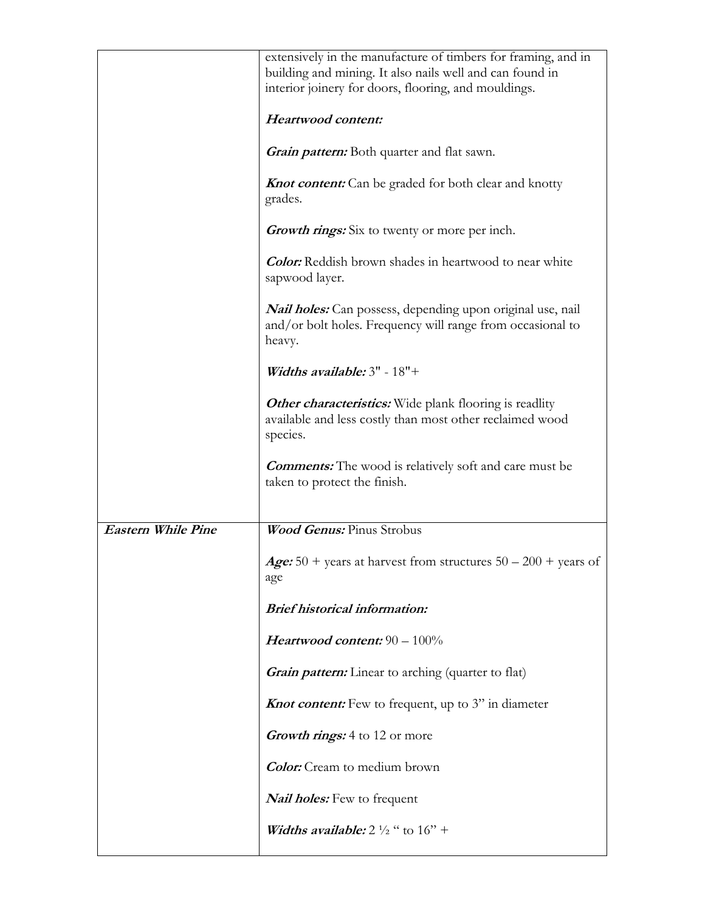|                           | extensively in the manufacture of timbers for framing, and in                                                                             |
|---------------------------|-------------------------------------------------------------------------------------------------------------------------------------------|
|                           | building and mining. It also nails well and can found in                                                                                  |
|                           |                                                                                                                                           |
|                           | interior joinery for doors, flooring, and mouldings.                                                                                      |
|                           | Heartwood content:                                                                                                                        |
|                           | <b><i>Grain pattern:</i></b> Both quarter and flat sawn.                                                                                  |
|                           | <b>Knot content:</b> Can be graded for both clear and knotty<br>grades.                                                                   |
|                           | Growth rings: Six to twenty or more per inch.                                                                                             |
|                           | <b>Color:</b> Reddish brown shades in heartwood to near white<br>sapwood layer.                                                           |
|                           | <i>Nail holes:</i> Can possess, depending upon original use, nail<br>and/or bolt holes. Frequency will range from occasional to<br>heavy. |
|                           | Widths available: $3"$ - $18"$ +                                                                                                          |
|                           | <b>Other characteristics:</b> Wide plank flooring is readlity<br>available and less costly than most other reclaimed wood<br>species.     |
|                           | <b>Comments:</b> The wood is relatively soft and care must be<br>taken to protect the finish.                                             |
| <b>Eastern While Pine</b> | <b>Wood Genus: Pinus Strobus</b>                                                                                                          |
|                           | Age: 50 + years at harvest from structures $50 - 200$ + years of<br>age                                                                   |
|                           | <b>Brief historical information:</b>                                                                                                      |
|                           | Heartwood content: $90 - 100\%$                                                                                                           |
|                           | <b>Grain pattern:</b> Linear to arching (quarter to flat)                                                                                 |
|                           | <b>Knot content:</b> Few to frequent, up to 3" in diameter                                                                                |
|                           | <b><i>Growth rings:</i></b> 4 to 12 or more                                                                                               |
|                           | <b>Color:</b> Cream to medium brown                                                                                                       |
|                           | <b>Nail holes:</b> Few to frequent                                                                                                        |
|                           | <b><i>Widths available:</i></b> $2\frac{1}{2}$ " to $16$ " +                                                                              |
|                           |                                                                                                                                           |